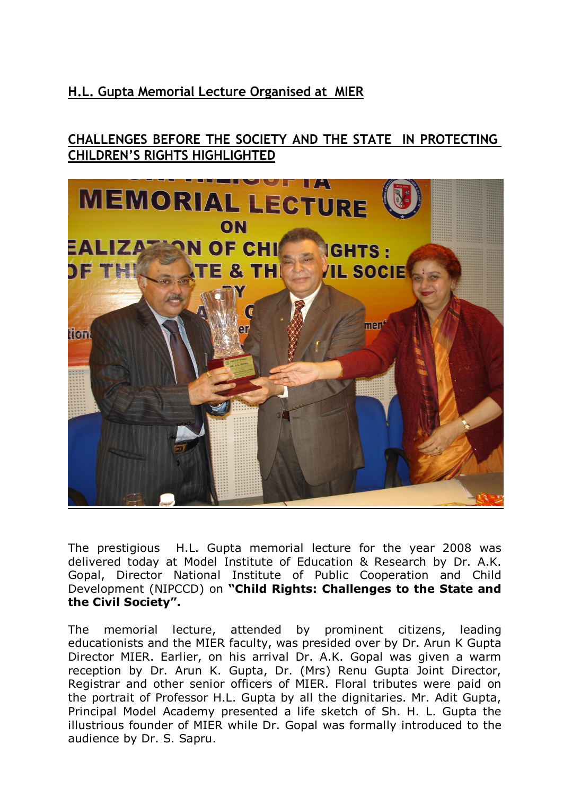## **H.L. Gupta Memorial Lecture Organised at MIER**

## **CHALLENGES BEFORE THE SOCIETY AND THE STATE IN PROTECTING CHILDREN'S RIGHTS HIGHLIGHTED**



The prestigious H.L. Gupta memorial lecture for the year 2008 was delivered today at Model Institute of Education & Research by Dr. A.K. Gopal, Director National Institute of Public Cooperation and Child Development (NIPCCD) on **"Child Rights: Challenges to the State and the Civil Society".**

The memorial lecture, attended by prominent citizens, leading educationists and the MIER faculty, was presided over by Dr. Arun K Gupta Director MIER. Earlier, on his arrival Dr. A.K. Gopal was given a warm reception by Dr. Arun K. Gupta, Dr. (Mrs) Renu Gupta Joint Director, Registrar and other senior officers of MIER. Floral tributes were paid on the portrait of Professor H.L. Gupta by all the dignitaries. Mr. Adit Gupta, Principal Model Academy presented a life sketch of Sh. H. L. Gupta the illustrious founder of MIER while Dr. Gopal was formally introduced to the audience by Dr. S. Sapru.